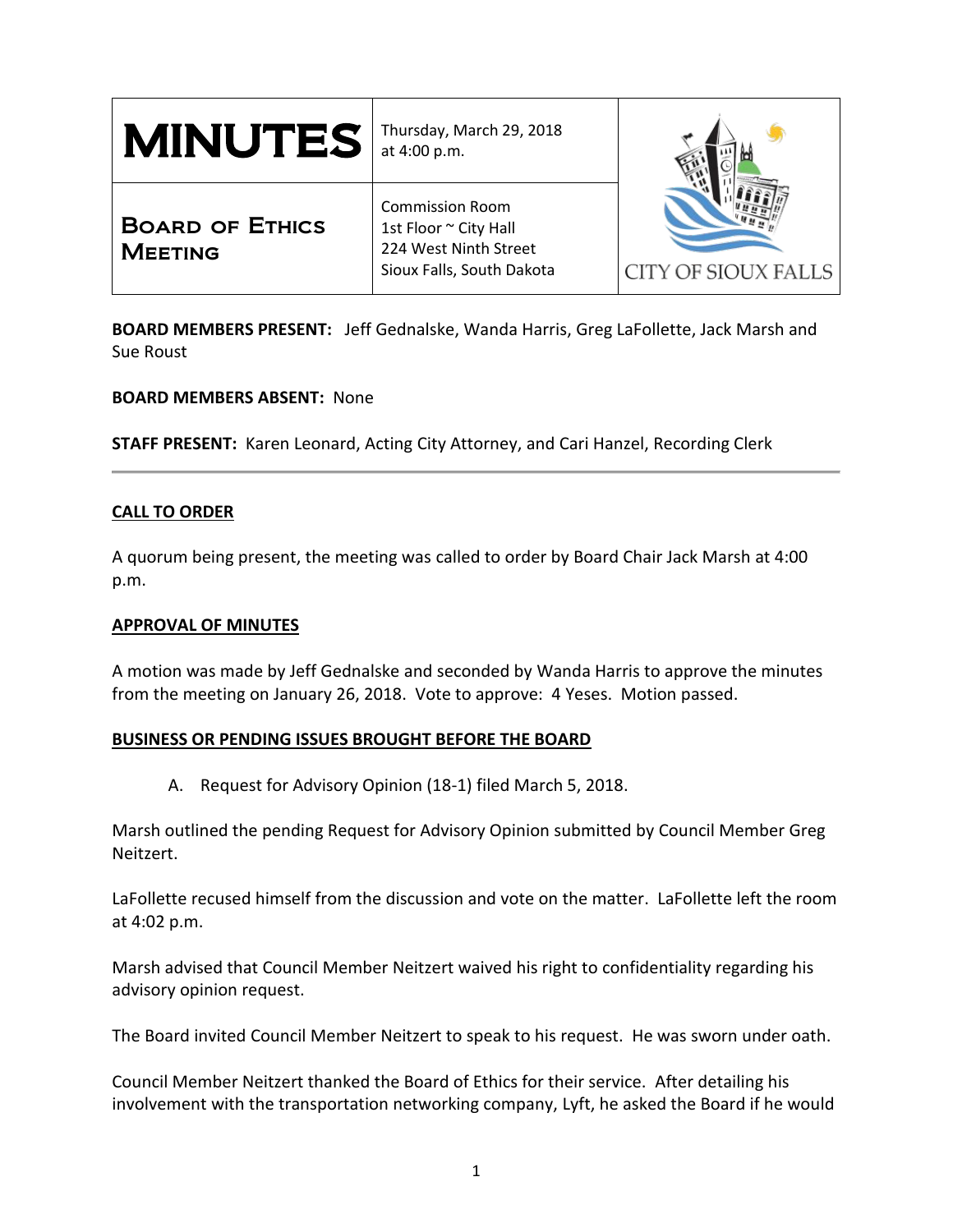| $\textbf{MINUTES}$ at 4:00 p.m.          | Thursday, March 29, 2018                                                                              |                     |
|------------------------------------------|-------------------------------------------------------------------------------------------------------|---------------------|
| <b>BOARD OF ETHICS</b><br><b>MEETING</b> | <b>Commission Room</b><br>1st Floor ~ City Hall<br>224 West Ninth Street<br>Sioux Falls, South Dakota | CITY OF SIOUX FALLS |

**BOARD MEMBERS PRESENT:** Jeff Gednalske, Wanda Harris, Greg LaFollette, Jack Marsh and Sue Roust

**BOARD MEMBERS ABSENT:** None

**STAFF PRESENT:** Karen Leonard, Acting City Attorney, and Cari Hanzel, Recording Clerk

# **CALL TO ORDER**

A quorum being present, the meeting was called to order by Board Chair Jack Marsh at 4:00 p.m.

### **APPROVAL OF MINUTES**

A motion was made by Jeff Gednalske and seconded by Wanda Harris to approve the minutes from the meeting on January 26, 2018. Vote to approve: 4 Yeses. Motion passed.

## **BUSINESS OR PENDING ISSUES BROUGHT BEFORE THE BOARD**

A. Request for Advisory Opinion (18-1) filed March 5, 2018.

Marsh outlined the pending Request for Advisory Opinion submitted by Council Member Greg Neitzert.

LaFollette recused himself from the discussion and vote on the matter. LaFollette left the room at 4:02 p.m.

Marsh advised that Council Member Neitzert waived his right to confidentiality regarding his advisory opinion request.

The Board invited Council Member Neitzert to speak to his request. He was sworn under oath.

Council Member Neitzert thanked the Board of Ethics for their service. After detailing his involvement with the transportation networking company, Lyft, he asked the Board if he would